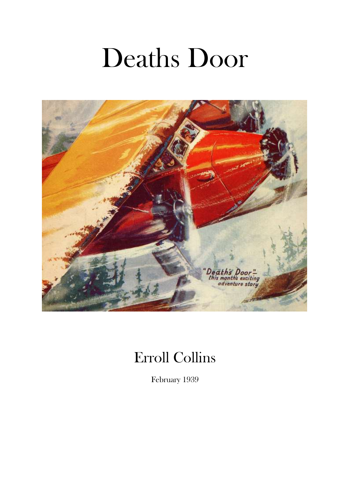# Deaths Door



# Erroll Collins

February 1939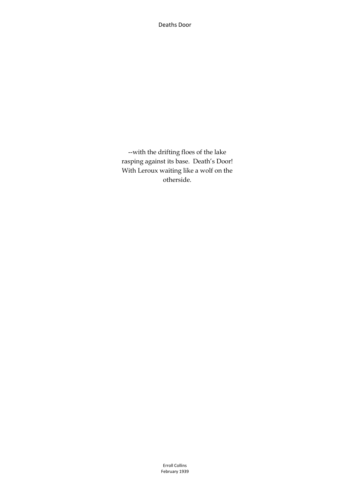Deaths Door

--with the drifting floes of the lake rasping against its base. Death's Door! With Leroux waiting like a wolf on the otherside.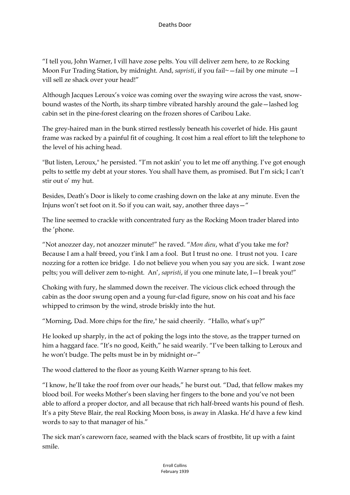"I tell you, John Warner, I vill have zose pelts. You vill deliver zem here, to ze Rocking Moon Fur Trading Station, by midnight. And, *sapristi*, if you fail~ - fail by one minute - I vill sell ze shack over your head!"

Although Jacques Leroux's voice was coming over the swaying wire across the vast, snowbound wastes of the North, its sharp timbre vibrated harshly around the gale—lashed log cabin set in the pine-forest clearing on the frozen shores of Caribou Lake.

The grey-haired man in the bunk stirred restlessly beneath his coverlet of hide. His gaunt frame was racked by a painful fit of coughing. It cost him a real effort to lift the telephone to the level of his aching head.

"But listen, Leroux," he persisted. "I'm not askin' you to let me off anything. I've got enough pelts to settle my debt at your stores. You shall have them, as promised. But I'm sick; I can't stir out o' my hut.

Besides, Death's Door is likely to come crashing down on the lake at any minute. Even the Injuns won't set foot on it. So if you can wait, say, another three days—"

The line seemed to crackle with concentrated fury as the Rocking Moon trader blared into the 'phone.

"Not anozzer day, not anozzer minute!" he raved. "*Mon dieu*, what d'you take me for? Because I am a half-breed, you t'ink I am a fool. But I trust no one. I trust not you. I care nozzing for a rotten ice bridge. I do not believe you when you say you are sick. I want zose pelts; you will deliver zem to-night. An', *sapristi*, if you one minute late, I—I break you!"

Choking with fury, he slammed down the receiver. The vicious click echoed through the cabin as the door swung open and a young fur-clad figure, snow on his coat and his face whipped to crimson by the wind, strode briskly into the hut.

"Morning, Dad. More chips for the fire," he said cheerily. "Hallo, what's up?"

He looked up sharply, in the act of poking the logs into the stove, as the trapper turned on him a haggard face. "It's no good, Keith," he said wearily. "I've been talking to Leroux and he won't budge. The pelts must be in by midnight or--"

The wood clattered to the floor as young Keith Warner sprang to his feet.

"I know, he'll take the roof from over our heads," he burst out. "Dad, that fellow makes my blood boil. For weeks Mother's been slaving her fingers to the bone and you've not been able to afford a proper doctor, and all because that rich half-breed wants his pound of flesh. It's a pity Steve Blair, the real Rocking Moon boss, is away in Alaska. He'd have a few kind words to say to that manager of his."

The sick man's careworn face, seamed with the black scars of frostbite, lit up with a faint smile.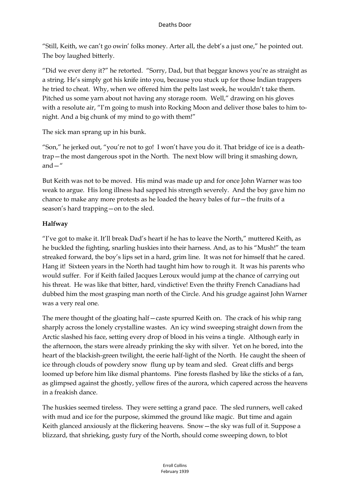"Still, Keith, we can't go owin' folks money. Arter all, the debt's a just one," he pointed out. The boy laughed bitterly.

"Did we ever deny it?" he retorted. "Sorry, Dad, but that beggar knows you're as straight as a string. He's simply got his knife into you, because you stuck up for those Indian trappers he tried to cheat. Why, when we offered him the pelts last week, he wouldn't take them. Pitched us some yarn about not having any storage room. Well," drawing on his gloves with a resolute air, "I'm going to mush into Rocking Moon and deliver those bales to him tonight. And a big chunk of my mind to go with them!"

The sick man sprang up in his bunk.

"Son," he jerked out, "you're not to go! I won't have you do it. That bridge of ice is a deathtrap—the most dangerous spot in the North. The next blow will bring it smashing down, and $-$ "

But Keith was not to be moved. His mind was made up and for once John Warner was too weak to argue. His long illness had sapped his strength severely. And the boy gave him no chance to make any more protests as he loaded the heavy bales of fur—the fruits of a season's hard trapping—on to the sled.

#### **Halfway**

"I've got to make it. It'll break Dad's heart if he has to leave the North," muttered Keith, as he buckled the fighting, snarling huskies into their harness. And, as to his "Mush!" the team streaked forward, the boy's lips set in a hard, grim line. It was not for himself that he cared. Hang it! Sixteen years in the North had taught him how to rough it. It was his parents who would suffer. For if Keith failed Jacques Leroux would jump at the chance of carrying out his threat. He was like that bitter, hard, vindictive! Even the thrifty French Canadians had dubbed him the most grasping man north of the Circle. And his grudge against John Warner was a very real one.

The mere thought of the gloating half—caste spurred Keith on. The crack of his whip rang sharply across the lonely crystalline wastes. An icy wind sweeping straight down from the Arctic slashed his face, setting every drop of blood in his veins a tingle. Although early in the afternoon, the stars were already prinking the sky with silver. Yet on he bored, into the heart of the blackish-green twilight, the eerie half-light of the North. He caught the sheen of ice through clouds of powdery snow flung up by team and sled. Great cliffs and bergs loomed up before him like dismal phantoms. Pine forests flashed by like the sticks of a fan, as glimpsed against the ghostly, yellow fires of the aurora, which capered across the heavens in a freakish dance.

The huskies seemed tireless. They were setting a grand pace. The sled runners, well caked with mud and ice for the purpose, skimmed the ground like magic. But time and again Keith glanced anxiously at the flickering heavens. Snow—the sky was full of it. Suppose a blizzard, that shrieking, gusty fury of the North, should come sweeping down, to blot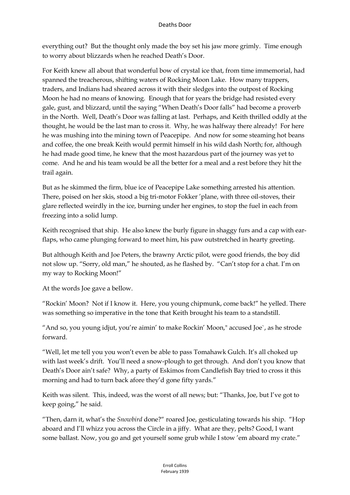everything out? But the thought only made the boy set his jaw more grimly. Time enough to worry about blizzards when he reached Death's Door.

For Keith knew all about that wonderful bow of crystal ice that, from time immemorial, had spanned the treacherous, shifting waters of Rocking Moon Lake. How many trappers, traders, and Indians had sheared across it with their sledges into the outpost of Rocking Moon he had no means of knowing. Enough that for years the bridge had resisted every gale, gust, and blizzard, until the saying "When Death's Door falls" had become a proverb in the North. Well, Death's Door was falling at last. Perhaps, and Keith thrilled oddly at the thought, he would be the last man to cross it. Why, he was halfway there already! For here he was mushing into the mining town of Peacepipe. And now for some steaming hot beans and coffee, the one break Keith would permit himself in his wild dash North; for, although he had made good time, he knew that the most hazardous part of the journey was yet to come. And he and his team would be all the better for a meal and a rest before they hit the trail again.

But as he skimmed the firm, blue ice of Peacepipe Lake something arrested his attention. There, poised on her skis, stood a big tri-motor Fokker 'plane, with three oil-stoves, their glare reflected weirdly in the ice, burning under her engines, to stop the fuel in each from freezing into a solid lump.

Keith recognised that ship. He also knew the burly figure in shaggy furs and a cap with earflaps, who came plunging forward to meet him, his paw outstretched in hearty greeting.

But although Keith and Joe Peters, the brawny Arctic pilot, were good friends, the boy did not slow up. "Sorry, old man," he shouted, as he flashed by. "Can't stop for a chat. I'm on my way to Rocking Moon!"

At the words Joe gave a bellow.

"Rockin' Moon? Not if I know it. Here, you young chipmunk, come back!" he yelled. There was something so imperative in the tone that Keith brought his team to a standstill.

"And so, you young idjut, you're aimin' to make Rockin' Moon," accused Joe`, as he strode forward.

"Well, let me tell you you won't even be able to pass Tomahawk Gulch. It's all choked up with last week's drift. You'll need a snow-plough to get through. And don't you know that Death's Door ain't safe? Why, a party of Eskimos from Candlefish Bay tried to cross it this morning and had to turn back afore they'd gone fifty yards."

Keith was silent. This, indeed, was the worst of all news; but: "Thanks, Joe, but I've got to keep going," he said.

"Then, darn it, what's the *Snowbird* done?" roared Joe, gesticulating towards his ship. "Hop aboard and I'll whizz you across the Circle in a jiffy. What are they, pelts? Good, I want some ballast. Now, you go and get yourself some grub while I stow 'em aboard my crate."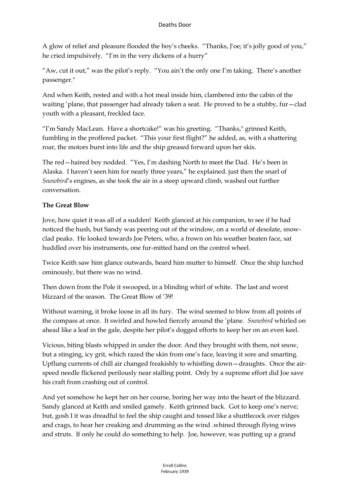A glow of relief and pleasure flooded the boy's cheeks. "Thanks, J'oe; it's jolly good of you," he cried impulsively. "I'm in the very dickens of a hurry"

"Aw, cut it out," was the pilot's reply. "You ain't the only one I'm taking. There's another passenger."

And when Keith, rested and with a hot meal inside him, clambered into the cabin of the waiting 'plane, that passenger had already taken a seat. He proved to be a stubby, fur—clad youth with a pleasant, freckled face.

"I'm Sandy MacLean. Have a shortcake!" was his greeting. "Thanks," grinned Keith, fumbling in the proffered packet. "This your first flight?" he added, as, with a shattering roar, the motors burst into life and the ship greased forward upon her skis.

The red—haired boy nodded. "Yes, I'm dashing North to meet the Dad. He's been in Alaska. I haven't seen him for nearly three years," he explained. just then the snarl of *Snowbird*'s engines, as she took the air in a steep upward climb, washed out further conversation.

## **The Great Blow**

Jove, how quiet it was all of a sudden! Keith glanced at his companion, to see if he had noticed the hush, but Sandy was peering out of the window, on a world of desolate, snowclad peaks. He looked towards Joe Peters, who, a frown on his weather beaten face, sat huddled over his instruments, one fur-mitted hand on the control wheel.

Twice Keith saw him glance outwards, heard him mutter to himself. Once the ship lurched ominously, but there was no wind.

Then down from the Pole it swooped, in a blinding whirl of white. The last and worst blizzard of the season. The Great Blow of '39!

Without warning, it broke loose in all its fury. The wind seemed to blow from all points of the compass at once. It swirled and howled fiercely around the 'plane. *Snowbird* whirled on ahead like a leaf in the gale, despite her pilot's dogged efforts to keep her on an even keel.

Vicious, biting blasts whipped in under the door. And they brought with them, not snow, but a stinging, icy grit, which razed the skin from one's face, leaving it sore and smarting. Upflung currents of chill air changed freakishly to whistling down—draughts. Once the airspeed needle flickered perilously near stalling point. Only by a supreme effort did Joe save his craft from crashing out of control.

And yet somehow he kept her on her course, boring her way into the heart of the blizzard. Sandy glanced at Keith and smiled gamely. Keith grinned back. Got to keep one's nerve; but, gosh I it was dreadful to feel the ship caught and tossed like a shuttlecock over ridges and crags, to hear her creaking and drumming as the wind .whined through flying wires and struts. If only he could do something to help. Joe, however, was putting up a grand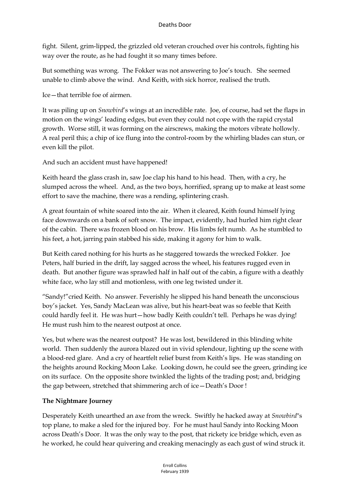fight. Silent, grim-lipped, the grizzled old veteran crouched over his controls, fighting his way over the route, as he had fought it so many times before.

But something was wrong. The Fokker was not answering to Joe's touch. She seemed unable to climb above the wind. And Keith, with sick horror, realised the truth.

Ice—that terrible foe of airmen.

It was piling up on *Snowbird*'s wings at an incredible rate. Joe, of course, had set the flaps in motion on the wings' leading edges, but even they could not cope with the rapid crystal growth. Worse still, it was forming on the airscrews, making the motors vibrate hollowly. A real peril this; a chip of ice flung into the control-room by the whirling blades can stun, or even kill the pilot.

And such an accident must have happened!

Keith heard the glass crash in, saw Joe clap his hand to his head. Then, with a cry, he slumped across the wheel. And, as the two boys, horrified, sprang up to make at least some effort to save the machine, there was a rending, splintering crash.

A great fountain of white soared into the air. When it cleared, Keith found himself lying face downwards on a bank of soft snow. The impact, evidently, had hurled him right clear of the cabin. There was frozen blood on his brow. His limbs felt numb. As he stumbled to his feet, a hot, jarring pain stabbed his side, making it agony for him to walk.

But Keith cared nothing for his hurts as he staggered towards the wrecked Fokker. Joe Peters, half buried in the drift, lay sagged across the wheel, his features rugged even in death. But another figure was sprawled half in half out of the cabin, a figure with a deathly white face, who lay still and motionless, with one leg twisted under it.

"Sandy!"cried Keith. No answer. Feverishly he slipped his hand beneath the unconscious boy's jacket. Yes, Sandy MacLean was alive, but his heart-beat was so feeble that Keith could hardly feel it. He was hurt—how badly Keith couldn't tell. Perhaps he was dying! He must rush him to the nearest outpost at once.

Yes, but where was the nearest outpost? He was lost, bewildered in this blinding white world. Then suddenly the aurora blazed out in vivid splendour, lighting up the scene with a blood-red glare. And a cry of heartfelt relief burst from Keith's lips. He was standing on the heights around Rocking Moon Lake. Looking down, he could see the green, grinding ice on its surface. On the opposite shore twinkled the lights of the trading post; and, bridging the gap between, stretched that shimmering arch of ice—Death's Door !

## **The Nightmare Journey**

Desperately Keith unearthed an axe from the wreck. Swiftly he hacked away at *Snowbird*"s top plane, to make a sled for the injured boy. For he must haul Sandy into Rocking Moon across Death's Door. It was the only way to the post, that rickety ice bridge which, even as he worked, he could hear quivering and creaking menacingly as each gust of wind struck it.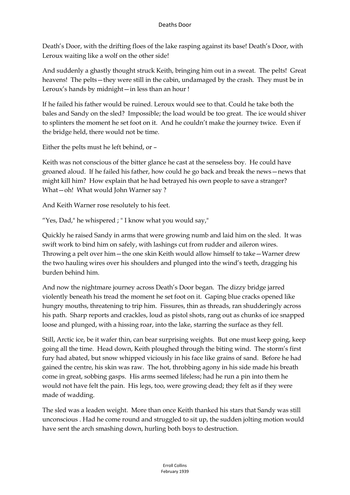Death's Door, with the drifting floes of the lake rasping against its base! Death's Door, with Leroux waiting like a wolf on the other side!

And suddenly a ghastly thought struck Keith, bringing him out in a sweat. The pelts! Great heavens! The pelts—they were still in the cabin, undamaged by the crash. They must be in Leroux's hands by midnight—in less than an hour !

If he failed his father would be ruined. Leroux would see to that. Could he take both the bales and Sandy on the sled? Impossible; the load would be too great. The ice would shiver to splinters the moment he set foot on it. And he couldn't make the journey twice. Even if the bridge held, there would not be time.

Either the pelts must he left behind, or –

Keith was not conscious of the bitter glance he cast at the senseless boy. He could have groaned aloud. If he failed his father, how could he go back and break the news—news that might kill him? How explain that he had betrayed his own people to save a stranger? What—oh! What would John Warner say ?

And Keith Warner rose resolutely to his feet.

"Yes, Dad," he whispered ; "I know what you would say,"

Quickly he raised Sandy in arms that were growing numb and laid him on the sled. It was swift work to bind him on safely, with lashings cut from rudder and aileron wires. Throwing a pelt over him—the one skin Keith would allow himself to take—Warner drew the two hauling wires over his shoulders and plunged into the wind's teeth, dragging his burden behind him.

And now the nightmare journey across Death's Door began. The dizzy bridge jarred violently beneath his tread the moment he set foot on it. Gaping blue cracks opened like hungry mouths, threatening to trip him. Fissures, thin as threads, ran shudderingly across his path. Sharp reports and crackles, loud as pistol shots, rang out as chunks of ice snapped loose and plunged, with a hissing roar, into the lake, starring the surface as they fell.

Still, Arctic ice, be it wafer thin, can bear surprising weights. But one must keep going, keep going all the time. Head down, Keith ploughed through the biting wind. The storm's first fury had abated, but snow whipped viciously in his face like grains of sand. Before he had gained the centre, his skin was raw. The hot, throbbing agony in his side made his breath come in great, sobbing gasps. His arms seemed lifeless; had he run a pin into them he would not have felt the pain. His legs, too, were growing dead; they felt as if they were made of wadding.

The sled was a leaden weight. More than once Keith thanked his stars that Sandy was still unconscious . Had he come round and struggled to sit up, the sudden jolting motion would have sent the arch smashing down, hurling both boys to destruction.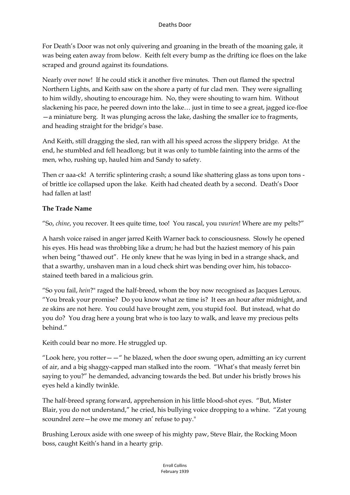For Death's Door was not only quivering and groaning in the breath of the moaning gale, it was being eaten away from below. Keith felt every bump as the drifting ice floes on the lake scraped and ground against its foundations.

Nearly over now! If he could stick it another five minutes. Then out flamed the spectral Northern Lights, and Keith saw on the shore a party of fur clad men. They were signalling to him wildly, shouting to encourage him. No, they were shouting to warn him. Without slackening his pace, he peered down into the lake… just in time to see a great, jagged ice-floe —a miniature berg. It was plunging across the lake, dashing the smaller ice to fragments, and heading straight for the bridge's base.

And Keith, still dragging the sled, ran with all his speed across the slippery bridge. At the end, he stumbled and fell headlong; but it was only to tumble fainting into the arms of the men, who, rushing up, hauled him and Sandy to safety.

Then cr aaa-ck! A terrific splintering crash; a sound like shattering glass as tons upon tons of brittle ice collapsed upon the lake. Keith had cheated death by a second. Death's Door had fallen at last!

#### **The Trade Name**

"So, *chine*, you recover. It ees quite time, too! You rascal, you *vaurien*! Where are my pelts?"

A harsh voice raised in anger jarred Keith Warner back to consciousness. Slowly he opened his eyes. His head was throbbing like a drum; he had but the haziest memory of his pain when being "thawed out". He only knew that he was lying in bed in a strange shack, and that a swarthy, unshaven man in a loud check shirt was bending over him, his tobaccostained teeth bared in a malicious grin.

"So you fail, *hein*?" raged the half-breed, whom the boy now recognised as Jacques Leroux. "You break your promise? Do you know what ze time is? It ees an hour after midnight, and ze skins are not here. You could have brought zem, you stupid fool. But instead, what do you do? You drag here a young brat who is too lazy to walk, and leave my precious pelts behind."

Keith could bear no more. He struggled up.

"Look here, you rotter  $-\frac{u}{v}$  he blazed, when the door swung open, admitting an icy current of air, and a big shaggy-capped man stalked into the room. "What's that measly ferret bin saying to you?" he demanded, advancing towards the bed. But under his bristly brows his eyes held a kindly twinkle.

The half-breed sprang forward, apprehension in his little blood-shot eyes. "But, Mister Blair, you do not understand," he cried, his bullying voice dropping to a whine. "Zat young scoundrel zere—he owe me money an' refuse to pay."

Brushing Leroux aside with one sweep of his mighty paw, Steve Blair, the Rocking Moon boss, caught Keith's hand in a hearty grip.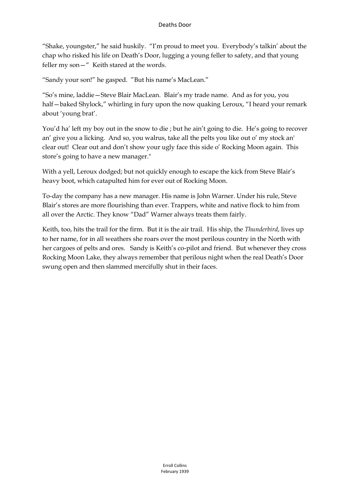"Shake, youngster," he said huskily. "I'm proud to meet you. Everybody's talkin' about the chap who risked his life on Death's Door, lugging a young feller to safety, and that young feller my son—" Keith stared at the words.

"Sandy your son!" he gasped. "But his name's MacLean."

"So's mine, laddie—Steve Blair MacLean. Blair's my trade name. And as for you, you half—baked Shylock," whirling in fury upon the now quaking Leroux, "I heard your remark about 'young brat'.

You'd ha' left my boy out in the snow to die ; but he ain't going to die. He's going to recover an' give you a licking. And so, you walrus, take all the pelts you like out o' my stock an' clear out! Clear out and don't show your ugly face this side o' Rocking Moon again. This store's going to have a new manager."

With a yell, Leroux dodged; but not quickly enough to escape the kick from Steve Blair's heavy boot, which catapulted him for ever out of Rocking Moon.

To-day the company has a new manager. His name is John Warner. Under his rule, Steve Blair's stores are more flourishing than ever. Trappers, white and native flock to him from all over the Arctic. They know "Dad" Warner always treats them fairly.

Keith, too, hits the trail for the firm. But it is the air trail. His ship, the *Thunderbird*, lives up to her name, for in all weathers she roars over the most perilous country in the North with her cargoes of pelts and ores. Sandy is Keith's co-pilot and friend. But whenever they cross Rocking Moon Lake, they always remember that perilous night when the real Death's Door swung open and then slammed mercifully shut in their faces.